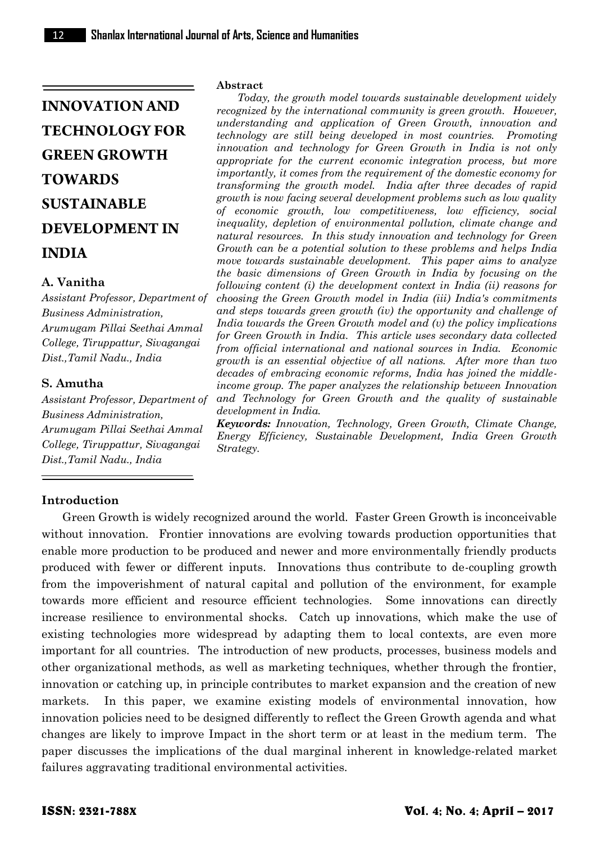# **INNOVATION AND TECHNOLOGY FOR GREEN GROWTH TOWARDS SUSTAINABLE DEVELOPMENT IN INDIA**

# **A. Vanitha**

*Assistant Professor, Department of Business Administration, Arumugam Pillai Seethai Ammal College, Tiruppattur, Sivagangai Dist.,Tamil Nadu., India* 

# **S. Amutha**

*Assistant Professor, Department of Business Administration, Arumugam Pillai Seethai Ammal College, Tiruppattur, Sivagangai Dist.,Tamil Nadu., India*

#### **Abstract**

*Today, the growth model towards sustainable development widely recognized by the international community is green growth. However, understanding and application of Green Growth, innovation and technology are still being developed in most countries. Promoting innovation and technology for Green Growth in India is not only appropriate for the current economic integration process, but more importantly, it comes from the requirement of the domestic economy for transforming the growth model. India after three decades of rapid growth is now facing several development problems such as low quality of economic growth, low competitiveness, low efficiency, social inequality, depletion of environmental pollution, climate change and natural resources. In this study innovation and technology for Green Growth can be a potential solution to these problems and helps India move towards sustainable development. This paper aims to analyze the basic dimensions of Green Growth in India by focusing on the following content (i) the development context in India (ii) reasons for choosing the Green Growth model in India (iii) India's commitments and steps towards green growth (iv) the opportunity and challenge of India towards the Green Growth model and (v) the policy implications for Green Growth in India. This article uses secondary data collected from official international and national sources in India. Economic growth is an essential objective of all nations. After more than two decades of embracing economic reforms, India has joined the middleincome group. The paper analyzes the relationship between Innovation and Technology for Green Growth and the quality of sustainable development in India.* 

*Keywords: Innovation, Technology, Green Growth, Climate Change, Energy Efficiency, Sustainable Development, India Green Growth Strategy.*

# **Introduction**

Green Growth is widely recognized around the world. Faster Green Growth is inconceivable without innovation. Frontier innovations are evolving towards production opportunities that enable more production to be produced and newer and more environmentally friendly products produced with fewer or different inputs. Innovations thus contribute to de-coupling growth from the impoverishment of natural capital and pollution of the environment, for example towards more efficient and resource efficient technologies. Some innovations can directly increase resilience to environmental shocks. Catch up innovations, which make the use of existing technologies more widespread by adapting them to local contexts, are even more important for all countries. The introduction of new products, processes, business models and other organizational methods, as well as marketing techniques, whether through the frontier, innovation or catching up, in principle contributes to market expansion and the creation of new markets. In this paper, we examine existing models of environmental innovation, how innovation policies need to be designed differently to reflect the Green Growth agenda and what changes are likely to improve Impact in the short term or at least in the medium term. The paper discusses the implications of the dual marginal inherent in knowledge-related market failures aggravating traditional environmental activities.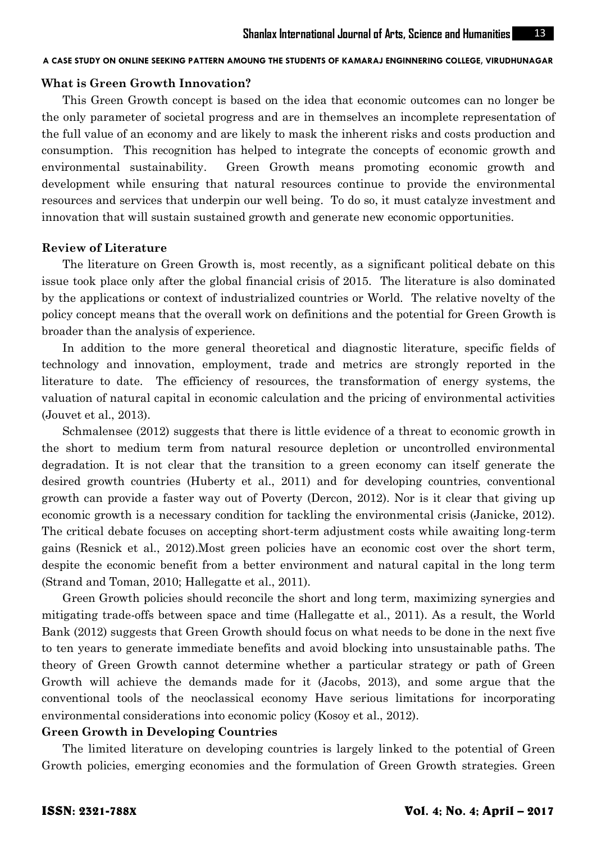# **What is Green Growth Innovation?**

This Green Growth concept is based on the idea that economic outcomes can no longer be the only parameter of societal progress and are in themselves an incomplete representation of the full value of an economy and are likely to mask the inherent risks and costs production and consumption. This recognition has helped to integrate the concepts of economic growth and environmental sustainability. Green Growth means promoting economic growth and development while ensuring that natural resources continue to provide the environmental resources and services that underpin our well being. To do so, it must catalyze investment and innovation that will sustain sustained growth and generate new economic opportunities.

#### **Review of Literature**

The literature on Green Growth is, most recently, as a significant political debate on this issue took place only after the global financial crisis of 2015. The literature is also dominated by the applications or context of industrialized countries or World. The relative novelty of the policy concept means that the overall work on definitions and the potential for Green Growth is broader than the analysis of experience.

In addition to the more general theoretical and diagnostic literature, specific fields of technology and innovation, employment, trade and metrics are strongly reported in the literature to date. The efficiency of resources, the transformation of energy systems, the valuation of natural capital in economic calculation and the pricing of environmental activities (Jouvet et al., 2013).

Schmalensee (2012) suggests that there is little evidence of a threat to economic growth in the short to medium term from natural resource depletion or uncontrolled environmental degradation. It is not clear that the transition to a green economy can itself generate the desired growth countries (Huberty et al., 2011) and for developing countries, conventional growth can provide a faster way out of Poverty (Dercon, 2012). Nor is it clear that giving up economic growth is a necessary condition for tackling the environmental crisis (Janicke, 2012). The critical debate focuses on accepting short-term adjustment costs while awaiting long-term gains (Resnick et al., 2012).Most green policies have an economic cost over the short term, despite the economic benefit from a better environment and natural capital in the long term (Strand and Toman, 2010; Hallegatte et al., 2011).

Green Growth policies should reconcile the short and long term, maximizing synergies and mitigating trade-offs between space and time (Hallegatte et al., 2011). As a result, the World Bank (2012) suggests that Green Growth should focus on what needs to be done in the next five to ten years to generate immediate benefits and avoid blocking into unsustainable paths. The theory of Green Growth cannot determine whether a particular strategy or path of Green Growth will achieve the demands made for it (Jacobs, 2013), and some argue that the conventional tools of the neoclassical economy Have serious limitations for incorporating environmental considerations into economic policy (Kosoy et al., 2012).

#### **Green Growth in Developing Countries**

The limited literature on developing countries is largely linked to the potential of Green Growth policies, emerging economies and the formulation of Green Growth strategies. Green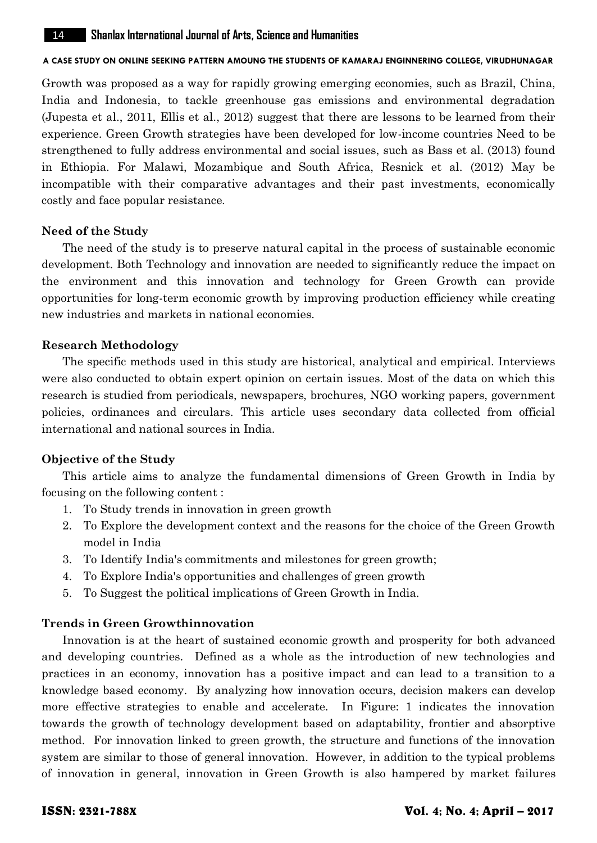Growth was proposed as a way for rapidly growing emerging economies, such as Brazil, China, India and Indonesia, to tackle greenhouse gas emissions and environmental degradation (Jupesta et al., 2011, Ellis et al., 2012) suggest that there are lessons to be learned from their experience. Green Growth strategies have been developed for low-income countries Need to be strengthened to fully address environmental and social issues, such as Bass et al. (2013) found in Ethiopia. For Malawi, Mozambique and South Africa, Resnick et al. (2012) May be incompatible with their comparative advantages and their past investments, economically costly and face popular resistance.

## **Need of the Study**

The need of the study is to preserve natural capital in the process of sustainable economic development. Both Technology and innovation are needed to significantly reduce the impact on the environment and this innovation and technology for Green Growth can provide opportunities for long-term economic growth by improving production efficiency while creating new industries and markets in national economies.

## **Research Methodology**

The specific methods used in this study are historical, analytical and empirical. Interviews were also conducted to obtain expert opinion on certain issues. Most of the data on which this research is studied from periodicals, newspapers, brochures, NGO working papers, government policies, ordinances and circulars. This article uses secondary data collected from official international and national sources in India.

# **Objective of the Study**

This article aims to analyze the fundamental dimensions of Green Growth in India by focusing on the following content :

- 1. To Study trends in innovation in green growth
- 2. To Explore the development context and the reasons for the choice of the Green Growth model in India
- 3. To Identify India's commitments and milestones for green growth;
- 4. To Explore India's opportunities and challenges of green growth
- 5. To Suggest the political implications of Green Growth in India.

# **Trends in Green Growthinnovation**

Innovation is at the heart of sustained economic growth and prosperity for both advanced and developing countries. Defined as a whole as the introduction of new technologies and practices in an economy, innovation has a positive impact and can lead to a transition to a knowledge based economy. By analyzing how innovation occurs, decision makers can develop more effective strategies to enable and accelerate. In Figure: 1 indicates the innovation towards the growth of technology development based on adaptability, frontier and absorptive method. For innovation linked to green growth, the structure and functions of the innovation system are similar to those of general innovation. However, in addition to the typical problems of innovation in general, innovation in Green Growth is also hampered by market failures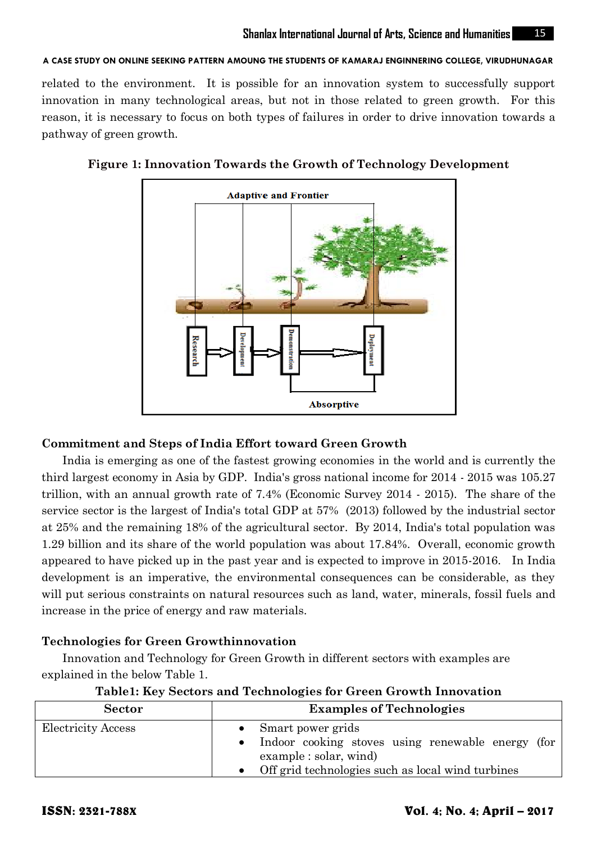related to the environment. It is possible for an innovation system to successfully support innovation in many technological areas, but not in those related to green growth. For this reason, it is necessary to focus on both types of failures in order to drive innovation towards a pathway of green growth.



## **Figure 1: Innovation Towards the Growth of Technology Development**

# **Commitment and Steps of India Effort toward Green Growth**

India is emerging as one of the fastest growing economies in the world and is currently the third largest economy in Asia by GDP. India's gross national income for 2014 - 2015 was 105.27 trillion, with an annual growth rate of 7.4% (Economic Survey 2014 - 2015). The share of the service sector is the largest of India's total GDP at 57% (2013) followed by the industrial sector at 25% and the remaining 18% of the agricultural sector. By 2014, India's total population was 1.29 billion and its share of the world population was about 17.84%. Overall, economic growth appeared to have picked up in the past year and is expected to improve in 2015-2016. In India development is an imperative, the environmental consequences can be considerable, as they will put serious constraints on natural resources such as land, water, minerals, fossil fuels and increase in the price of energy and raw materials.

# **Technologies for Green Growthinnovation**

Innovation and Technology for Green Growth in different sectors with examples are explained in the below Table 1.

| <b>Sector</b>             | <b>Examples of Technologies</b>                                                                                                                                 |
|---------------------------|-----------------------------------------------------------------------------------------------------------------------------------------------------------------|
| <b>Electricity Access</b> | Smart power grids<br>Indoor cooking stoves using renewable energy (for<br>$\alpha$ example : solar, wind<br>• Off grid technologies such as local wind turbines |

**Table1: Key Sectors and Technologies for Green Growth Innovation**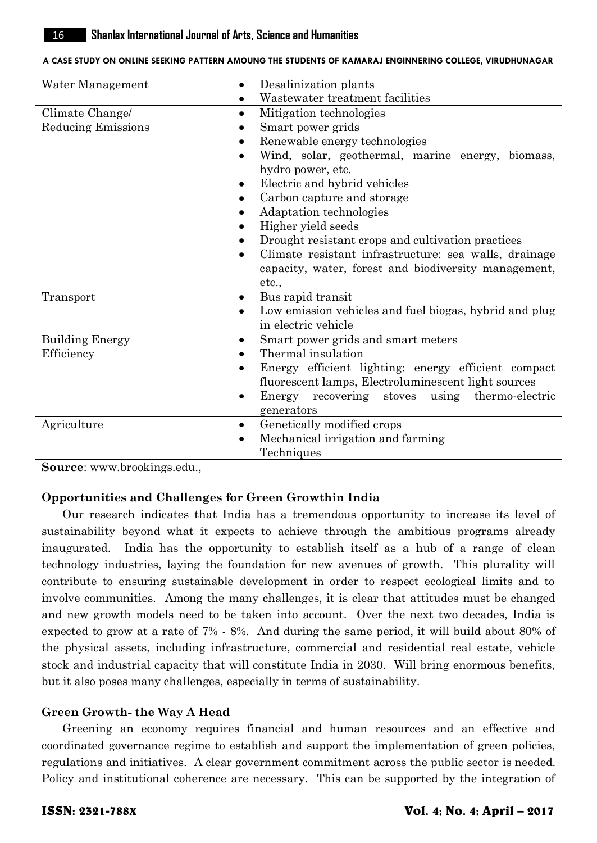| Water Management                             | Desalinization plants<br>Wastewater treatment facilities                                                                                                                                                                                                                                                                                                                                                                                                                   |
|----------------------------------------------|----------------------------------------------------------------------------------------------------------------------------------------------------------------------------------------------------------------------------------------------------------------------------------------------------------------------------------------------------------------------------------------------------------------------------------------------------------------------------|
| Climate Change/<br><b>Reducing Emissions</b> | Mitigation technologies<br>٠<br>Smart power grids<br>Renewable energy technologies<br>Wind, solar, geothermal, marine energy, biomass,<br>hydro power, etc.<br>Electric and hybrid vehicles<br>$\bullet$<br>Carbon capture and storage<br>Adaptation technologies<br>Higher yield seeds<br>Drought resistant crops and cultivation practices<br>٠<br>Climate resistant infrastructure: sea walls, drainage<br>capacity, water, forest and biodiversity management,<br>etc. |
| Transport                                    | Bus rapid transit<br>٠<br>Low emission vehicles and fuel biogas, hybrid and plug<br>in electric vehicle                                                                                                                                                                                                                                                                                                                                                                    |
| <b>Building Energy</b><br>Efficiency         | Smart power grids and smart meters<br>$\bullet$<br>Thermal insulation<br>Energy efficient lighting: energy efficient compact<br>fluorescent lamps, Electroluminescent light sources<br>Energy recovering stoves using thermo-electric<br>generators                                                                                                                                                                                                                        |
| Agriculture                                  | Genetically modified crops<br>٠<br>Mechanical irrigation and farming<br>Techniques                                                                                                                                                                                                                                                                                                                                                                                         |

**Source**: www.brookings.edu.,

# **Opportunities and Challenges for Green Growthin India**

Our research indicates that India has a tremendous opportunity to increase its level of sustainability beyond what it expects to achieve through the ambitious programs already inaugurated. India has the opportunity to establish itself as a hub of a range of clean technology industries, laying the foundation for new avenues of growth. This plurality will contribute to ensuring sustainable development in order to respect ecological limits and to involve communities. Among the many challenges, it is clear that attitudes must be changed and new growth models need to be taken into account. Over the next two decades, India is expected to grow at a rate of 7% - 8%. And during the same period, it will build about 80% of the physical assets, including infrastructure, commercial and residential real estate, vehicle stock and industrial capacity that will constitute India in 2030. Will bring enormous benefits, but it also poses many challenges, especially in terms of sustainability.

# **Green Growth- the Way A Head**

Greening an economy requires financial and human resources and an effective and coordinated governance regime to establish and support the implementation of green policies, regulations and initiatives. A clear government commitment across the public sector is needed. Policy and institutional coherence are necessary. This can be supported by the integration of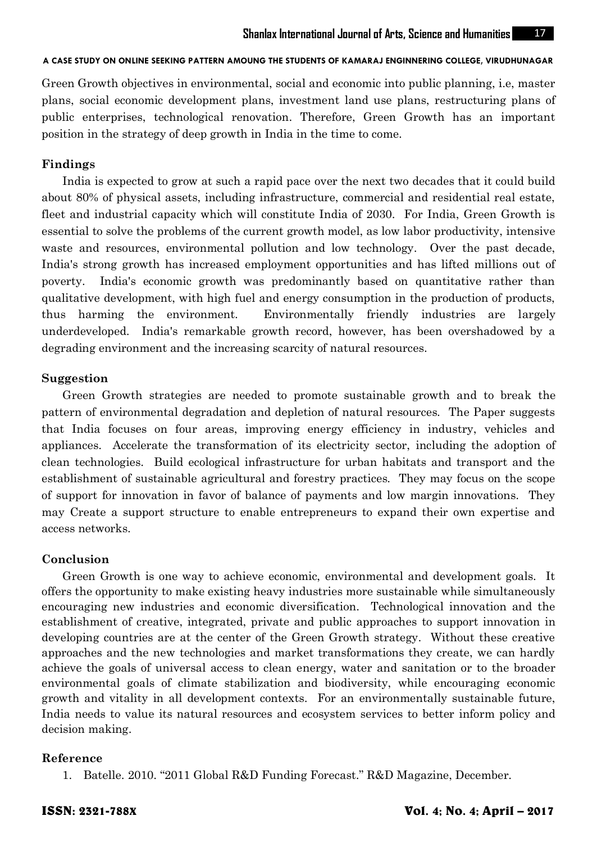Green Growth objectives in environmental, social and economic into public planning, i.e, master plans, social economic development plans, investment land use plans, restructuring plans of public enterprises, technological renovation. Therefore, Green Growth has an important position in the strategy of deep growth in India in the time to come.

# **Findings**

India is expected to grow at such a rapid pace over the next two decades that it could build about 80% of physical assets, including infrastructure, commercial and residential real estate, fleet and industrial capacity which will constitute India of 2030. For India, Green Growth is essential to solve the problems of the current growth model, as low labor productivity, intensive waste and resources, environmental pollution and low technology. Over the past decade, India's strong growth has increased employment opportunities and has lifted millions out of poverty. India's economic growth was predominantly based on quantitative rather than qualitative development, with high fuel and energy consumption in the production of products, thus harming the environment. Environmentally friendly industries are largely underdeveloped. India's remarkable growth record, however, has been overshadowed by a degrading environment and the increasing scarcity of natural resources.

## **Suggestion**

Green Growth strategies are needed to promote sustainable growth and to break the pattern of environmental degradation and depletion of natural resources. The Paper suggests that India focuses on four areas, improving energy efficiency in industry, vehicles and appliances. Accelerate the transformation of its electricity sector, including the adoption of clean technologies. Build ecological infrastructure for urban habitats and transport and the establishment of sustainable agricultural and forestry practices. They may focus on the scope of support for innovation in favor of balance of payments and low margin innovations. They may Create a support structure to enable entrepreneurs to expand their own expertise and access networks.

# **Conclusion**

Green Growth is one way to achieve economic, environmental and development goals. It offers the opportunity to make existing heavy industries more sustainable while simultaneously encouraging new industries and economic diversification. Technological innovation and the establishment of creative, integrated, private and public approaches to support innovation in developing countries are at the center of the Green Growth strategy. Without these creative approaches and the new technologies and market transformations they create, we can hardly achieve the goals of universal access to clean energy, water and sanitation or to the broader environmental goals of climate stabilization and biodiversity, while encouraging economic growth and vitality in all development contexts. For an environmentally sustainable future, India needs to value its natural resources and ecosystem services to better inform policy and decision making.

#### **Reference**

1. Batelle. 2010. "2011 Global R&D Funding Forecast." R&D Magazine, December.